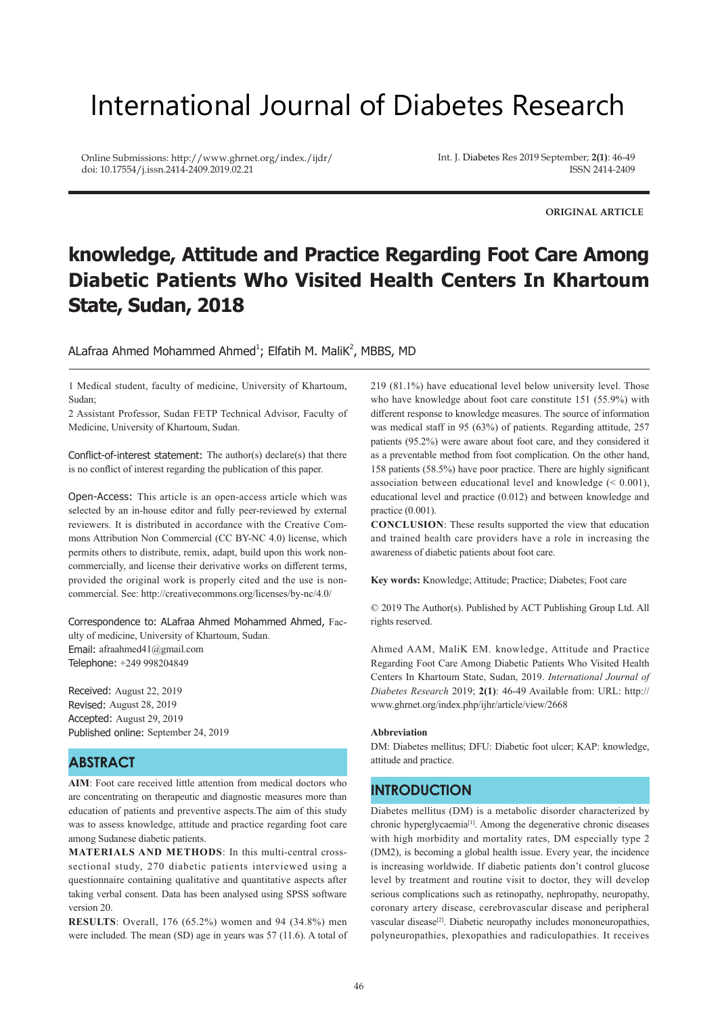# International Journal of Diabetes Research

Online Submissions: http://www.ghrnet.org/index./ijdr/ doi: 10.17554/j.issn.2414-2409.2019.02.21

Int. J. Diabetes Res 2019 September; **2(1)**: 46-49 ISSN 2414-2409

**ORIGINAL ARTICLE**

## **knowledge, Attitude and Practice Regarding Foot Care Among Diabetic Patients Who Visited Health Centers In Khartoum State, Sudan, 2018**

ALafraa Ahmed Mohammed Ahmed<sup>1</sup>; Elfatih M. MaliK<sup>2</sup>, MBBS, MD

1 Medical student, faculty of medicine, University of Khartoum, Sudan;

2 Assistant Professor, Sudan FETP Technical Advisor, Faculty of Medicine, University of Khartoum, Sudan.

Conflict-of-interest statement: The author(s) declare(s) that there is no conflict of interest regarding the publication of this paper.

Open-Access: This article is an open-access article which was selected by an in-house editor and fully peer-reviewed by external reviewers. It is distributed in accordance with the Creative Commons Attribution Non Commercial (CC BY-NC 4.0) license, which permits others to distribute, remix, adapt, build upon this work noncommercially, and license their derivative works on different terms, provided the original work is properly cited and the use is noncommercial. See: http://creativecommons.org/licenses/by-nc/4.0/

Correspondence to: ALafraa Ahmed Mohammed Ahmed, Faculty of medicine, University of Khartoum, Sudan. Email: afraahmed41@gmail.com Telephone: +249 998204849

Received: August 22, 2019 Revised: August 28, 2019 Accepted: August 29, 2019 Published online: September 24, 2019

## **ABSTRACT**

**AIM**: Foot care received little attention from medical doctors who are concentrating on therapeutic and diagnostic measures more than education of patients and preventive aspects.The aim of this study was to assess knowledge, attitude and practice regarding foot care among Sudanese diabetic patients.

**MATERIALS AND METHODS**: In this multi-central crosssectional study, 270 diabetic patients interviewed using a questionnaire containing qualitative and quantitative aspects after taking verbal consent. Data has been analysed using SPSS software version 20.

**RESULTS**: Overall, 176 (65.2%) women and 94 (34.8%) men were included. The mean (SD) age in years was 57 (11.6). A total of 219 (81.1%) have educational level below university level. Those who have knowledge about foot care constitute 151 (55.9%) with different response to knowledge measures. The source of information was medical staff in 95 (63%) of patients. Regarding attitude, 257 patients (95.2%) were aware about foot care, and they considered it as a preventable method from foot complication. On the other hand, 158 patients (58.5%) have poor practice. There are highly significant association between educational level and knowledge (< 0.001), educational level and practice (0.012) and between knowledge and practice (0.001).

**CONCLUSION**: These results supported the view that education and trained health care providers have a role in increasing the awareness of diabetic patients about foot care.

**Key words:** Knowledge; Attitude; Practice; Diabetes; Foot care

© 2019 The Author(s). Published by ACT Publishing Group Ltd. All rights reserved.

Ahmed AAM, MaliK EM. knowledge, Attitude and Practice Regarding Foot Care Among Diabetic Patients Who Visited Health Centers In Khartoum State, Sudan, 2019. *International Journal of Diabetes Research* 2019; **2(1)**: 46-49 Available from: URL: http:// www.ghrnet.org/index.php/ijhr/article/view/2668

#### **Abbreviation**

DM: Diabetes mellitus; DFU: Diabetic foot ulcer; KAP: knowledge, attitude and practice.

## **INTRODUCTION**

Diabetes mellitus (DM) is a metabolic disorder characterized by chronic hyperglycaemia[1]. Among the degenerative chronic diseases with high morbidity and mortality rates, DM especially type 2 (DM2), is becoming a global health issue. Every year, the incidence is increasing worldwide. If diabetic patients don't control glucose level by treatment and routine visit to doctor, they will develop serious complications such as retinopathy, nephropathy, neuropathy, coronary artery disease, cerebrovascular disease and peripheral vascular disease<sup>[2]</sup>. Diabetic neuropathy includes mononeuropathies, polyneuropathies, plexopathies and radiculopathies. It receives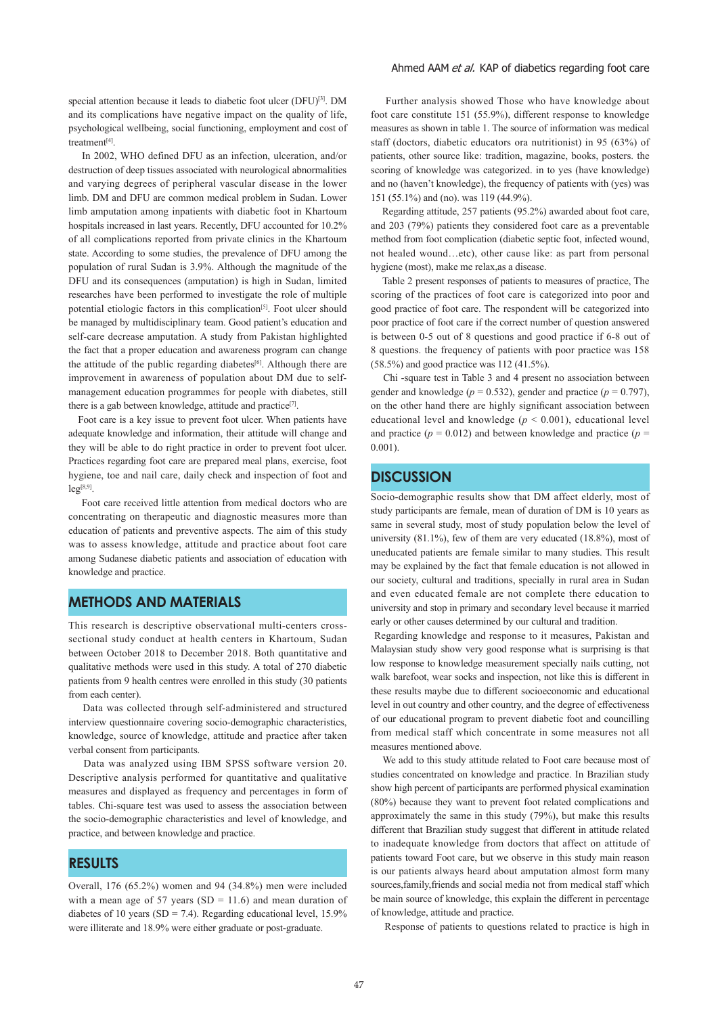special attention because it leads to diabetic foot ulcer (DFU)<sup>[3]</sup>. DM and its complications have negative impact on the quality of life, psychological wellbeing, social functioning, employment and cost of treatment[4].

 In 2002, WHO defined DFU as an infection, ulceration, and/or destruction of deep tissues associated with neurological abnormalities and varying degrees of peripheral vascular disease in the lower limb. DM and DFU are common medical problem in Sudan. Lower limb amputation among inpatients with diabetic foot in Khartoum hospitals increased in last years. Recently, DFU accounted for 10.2% of all complications reported from private clinics in the Khartoum state. According to some studies, the prevalence of DFU among the population of rural Sudan is 3.9%. Although the magnitude of the DFU and its consequences (amputation) is high in Sudan, limited researches have been performed to investigate the role of multiple potential etiologic factors in this complication[5]. Foot ulcer should be managed by multidisciplinary team. Good patient's education and self-care decrease amputation. A study from Pakistan highlighted the fact that a proper education and awareness program can change the attitude of the public regarding diabetes<sup>[6]</sup>. Although there are improvement in awareness of population about DM due to selfmanagement education programmes for people with diabetes, still there is a gab between knowledge, attitude and practice<sup>[7]</sup>.

 Foot care is a key issue to prevent foot ulcer. When patients have adequate knowledge and information, their attitude will change and they will be able to do right practice in order to prevent foot ulcer. Practices regarding foot care are prepared meal plans, exercise, foot hygiene, toe and nail care, daily check and inspection of foot and  $leg^{[8,9]}$ .

 Foot care received little attention from medical doctors who are concentrating on therapeutic and diagnostic measures more than education of patients and preventive aspects. The aim of this study was to assess knowledge, attitude and practice about foot care among Sudanese diabetic patients and association of education with knowledge and practice.

## **METHODS AND MATERIALS**

This research is descriptive observational multi-centers crosssectional study conduct at health centers in Khartoum, Sudan between October 2018 to December 2018. Both quantitative and qualitative methods were used in this study. A total of 270 diabetic patients from 9 health centres were enrolled in this study (30 patients from each center).

 Data was collected through self‐administered and structured interview questionnaire covering socio-demographic characteristics, knowledge, source of knowledge, attitude and practice after taken verbal consent from participants.

 Data was analyzed using IBM SPSS software version 20. Descriptive analysis performed for quantitative and qualitative measures and displayed as frequency and percentages in form of tables. Chi-square test was used to assess the association between the socio-demographic characteristics and level of knowledge, and practice, and between knowledge and practice.

## **RESULTS**

Overall, 176 (65.2%) women and 94 (34.8%) men were included with a mean age of 57 years (SD = 11.6) and mean duration of diabetes of 10 years (SD = 7.4). Regarding educational level, 15.9% were illiterate and 18.9% were either graduate or post-graduate.

#### Ahmed AAM et al. KAP of diabetics regarding foot care

 Further analysis showed Those who have knowledge about foot care constitute 151 (55.9%), different response to knowledge measures as shown in table 1. The source of information was medical staff (doctors, diabetic educators ora nutritionist) in 95 (63%) of patients, other source like: tradition, magazine, books, posters. the scoring of knowledge was categorized. in to yes (have knowledge) and no (haven't knowledge), the frequency of patients with (yes) was 151 (55.1%) and (no). was 119 (44.9%).

 Regarding attitude, 257 patients (95.2%) awarded about foot care, and 203 (79%) patients they considered foot care as a preventable method from foot complication (diabetic septic foot, infected wound, not healed wound…etc), other cause like: as part from personal hygiene (most), make me relax,as a disease.

 Table 2 present responses of patients to measures of practice, The scoring of the practices of foot care is categorized into poor and good practice of foot care. The respondent will be categorized into poor practice of foot care if the correct number of question answered is between 0-5 out of 8 questions and good practice if 6-8 out of 8 questions. the frequency of patients with poor practice was 158 (58.5%) and good practice was 112 (41.5%).

 Chi -square test in Table 3 and 4 present no association between gender and knowledge ( $p = 0.532$ ), gender and practice ( $p = 0.797$ ), on the other hand there are highly significant association between educational level and knowledge  $(p < 0.001)$ , educational level and practice ( $p = 0.012$ ) and between knowledge and practice ( $p =$ 0.001).

### **DISCUSSION**

Socio-demographic results show that DM affect elderly, most of study participants are female, mean of duration of DM is 10 years as same in several study, most of study population below the level of university (81.1%), few of them are very educated (18.8%), most of uneducated patients are female similar to many studies. This result may be explained by the fact that female education is not allowed in our society, cultural and traditions, specially in rural area in Sudan and even educated female are not complete there education to university and stop in primary and secondary level because it married early or other causes determined by our cultural and tradition.

 Regarding knowledge and response to it measures, Pakistan and Malaysian study show very good response what is surprising is that low response to knowledge measurement specially nails cutting, not walk barefoot, wear socks and inspection, not like this is different in these results maybe due to different socioeconomic and educational level in out country and other country, and the degree of effectiveness of our educational program to prevent diabetic foot and councilling from medical staff which concentrate in some measures not all measures mentioned above.

 We add to this study attitude related to Foot care because most of studies concentrated on knowledge and practice. In Brazilian study show high percent of participants are performed physical examination (80%) because they want to prevent foot related complications and approximately the same in this study (79%), but make this results different that Brazilian study suggest that different in attitude related to inadequate knowledge from doctors that affect on attitude of patients toward Foot care, but we observe in this study main reason is our patients always heard about amputation almost form many sources,family,friends and social media not from medical staff which be main source of knowledge, this explain the different in percentage of knowledge, attitude and practice.

Response of patients to questions related to practice is high in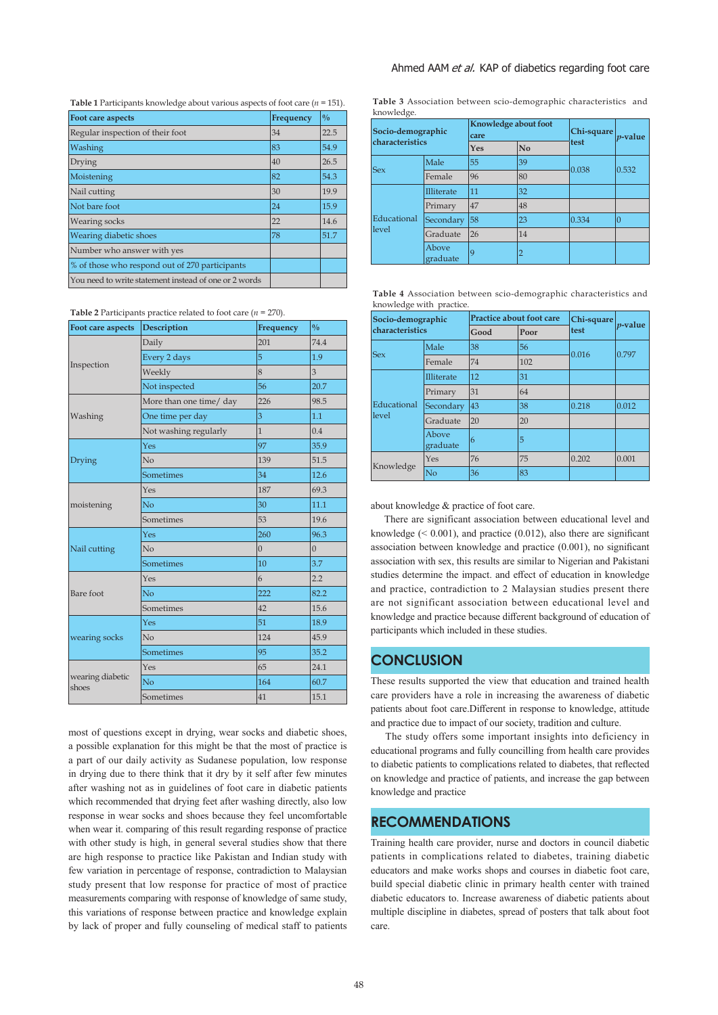| Table 1 Participants knowledge about various aspects of foot care ( $n = 151$ ). |  |  |
|----------------------------------------------------------------------------------|--|--|
|----------------------------------------------------------------------------------|--|--|

| Foot care aspects                                     | Frequency | $\frac{0}{0}$ |
|-------------------------------------------------------|-----------|---------------|
| Regular inspection of their foot                      | 34        | 22.5          |
| Washing                                               | 83        | 54.9          |
| Drying                                                | 40        | 26.5          |
| Moistening                                            | 82        | 54.3          |
| Nail cutting                                          | 30        | 19.9          |
| Not bare foot                                         | 24        | 15.9          |
| Wearing socks                                         | 22        | 14.6          |
| Wearing diabetic shoes                                | 78        | 51.7          |
| Number who answer with yes                            |           |               |
| % of those who respond out of 270 participants        |           |               |
| You need to write statement instead of one or 2 words |           |               |

**Table 2** Participants practice related to foot care (*n* = 270).

| Foot care aspects         | <b>Description</b>      | Frequency      | $\frac{0}{0}$  |  |
|---------------------------|-------------------------|----------------|----------------|--|
|                           | Daily                   | 201            | 74.4           |  |
|                           | Every 2 days            | 5              | 1.9            |  |
| Inspection                | Weekly                  | 8              | 3              |  |
|                           | Not inspected           | 56             | 20.7           |  |
|                           | More than one time/ day | 226            | 98.5           |  |
| Washing                   | One time per day        | 3              | 1.1            |  |
|                           | Not washing regularly   | $\mathbf{1}$   | 0.4            |  |
|                           | Yes                     | 97             | 35.9           |  |
| Drying                    | No                      | 139            | 51.5           |  |
|                           | Sometimes               | 34             | 12.6           |  |
|                           | Yes                     | 187            | 69.3           |  |
| moistening                | No                      | 30             | 11.1           |  |
|                           | Sometimes               | 53             | 19.6           |  |
|                           | Yes                     | 260            | 96.3           |  |
| Nail cutting              | N <sub>o</sub>          | $\overline{0}$ | $\overline{0}$ |  |
|                           | Sometimes               | 10             | 3.7            |  |
|                           | Yes                     | 6              | 2.2            |  |
| Bare foot                 | N <sub>o</sub>          | 222            | 82.2           |  |
|                           | Sometimes               | 42             | 15.6           |  |
|                           | Yes                     | 51             | 18.9           |  |
| wearing socks             | N <sub>o</sub>          | 124            | 45.9           |  |
|                           | Sometimes               | 95             | 35.2           |  |
|                           | Yes                     | 65             | 24.1           |  |
| wearing diabetic<br>shoes | No                      | 164            | 60.7           |  |
|                           | Sometimes               | 41             | 15.1           |  |

most of questions except in drying, wear socks and diabetic shoes, a possible explanation for this might be that the most of practice is a part of our daily activity as Sudanese population, low response in drying due to there think that it dry by it self after few minutes after washing not as in guidelines of foot care in diabetic patients which recommended that drying feet after washing directly, also low response in wear socks and shoes because they feel uncomfortable when wear it. comparing of this result regarding response of practice with other study is high, in general several studies show that there are high response to practice like Pakistan and Indian study with few variation in percentage of response, contradiction to Malaysian study present that low response for practice of most of practice measurements comparing with response of knowledge of same study, this variations of response between practice and knowledge explain by lack of proper and fully counseling of medical staff to patients **Table 3** Association between scio-demographic characteristics and knowledge.

| Socio-demographic<br>characteristics |                   | Knowledge about foot<br>care |    | Chi-square | $p$ -value |
|--------------------------------------|-------------------|------------------------------|----|------------|------------|
|                                      |                   | Yes                          | No | test       |            |
| <b>Sex</b>                           | Male              | 55                           | 39 | 0.038      | 0.532      |
|                                      | Female            | 96                           | 80 |            |            |
| Educational<br>level                 | Illiterate        | 11                           | 32 |            |            |
|                                      | Primary           | 47                           | 48 |            |            |
|                                      | Secondary         | 58                           | 23 | 0.334      | $\Omega$   |
|                                      | Graduate          | 26                           | 14 |            |            |
|                                      | Above<br>graduate | 9                            | 2  |            |            |

| Table 4 Association between scio-demographic characteristics and |  |  |
|------------------------------------------------------------------|--|--|
| knowledge with practice.                                         |  |  |

| Socio-demographic<br>characteristics |                   | <b>Practice about foot care</b> |      | Chi-square |            |
|--------------------------------------|-------------------|---------------------------------|------|------------|------------|
|                                      |                   | Good                            | Poor | test       | $p$ -value |
| <b>Sex</b>                           | Male              | 38                              | 56   | 0.016      | 0.797      |
|                                      | Female            | 74                              | 102  |            |            |
| Educational<br>level                 | Illiterate        | 12                              | 31   |            |            |
|                                      | Primary           | 31                              | 64   |            |            |
|                                      | Secondary         | 43                              | 38   | 0.218      | 0.012      |
|                                      | Graduate          | 20                              | 20   |            |            |
|                                      | Above<br>graduate | 6                               | 5    |            |            |
| Knowledge                            | Yes               | 76                              | 75   | 0.202      | 0.001      |
|                                      | N <sub>o</sub>    | 36                              | 83   |            |            |

about knowledge & practice of foot care.

 There are significant association between educational level and knowledge  $(0.001)$ , and practice  $(0.012)$ , also there are significant association between knowledge and practice (0.001), no significant association with sex, this results are similar to Nigerian and Pakistani studies determine the impact. and effect of education in knowledge and practice, contradiction to 2 Malaysian studies present there are not significant association between educational level and knowledge and practice because different background of education of participants which included in these studies.

## **CONCLUSION**

These results supported the view that education and trained health care providers have a role in increasing the awareness of diabetic patients about foot care.Different in response to knowledge, attitude and practice due to impact of our society, tradition and culture.

 The study offers some important insights into deficiency in educational programs and fully councilling from health care provides to diabetic patients to complications related to diabetes, that reflected on knowledge and practice of patients, and increase the gap between knowledge and practice

## **RECOMMENDATIONS**

Training health care provider, nurse and doctors in council diabetic patients in complications related to diabetes, training diabetic educators and make works shops and courses in diabetic foot care, build special diabetic clinic in primary health center with trained diabetic educators to. Increase awareness of diabetic patients about multiple discipline in diabetes, spread of posters that talk about foot care.